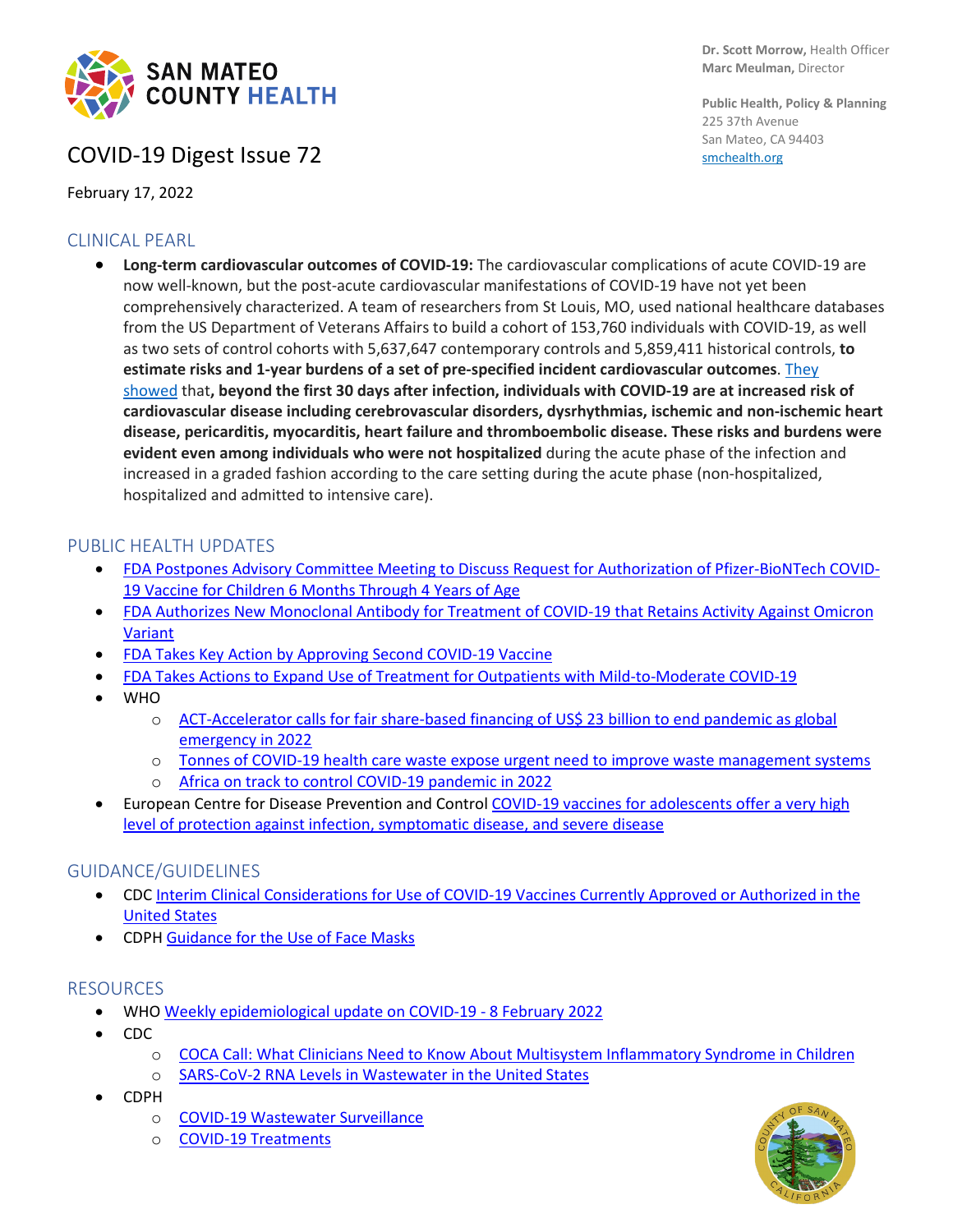

# COVID-19 Digest Issue 72

February 17, 2022

### CLINICAL PEARL

• **Long-term cardiovascular outcomes of COVID-19:** The cardiovascular complications of acute COVID-19 are now well-known, but the post-acute cardiovascular manifestations of COVID-19 have not yet been comprehensively characterized. A team of researchers from St Louis, MO, used national healthcare databases from the US Department of Veterans Affairs to build a cohort of 153,760 individuals with COVID-19, as well as two sets of control cohorts with 5,637,647 contemporary controls and 5,859,411 historical controls, **to estimate risks and 1-year burdens of a set of pre-specified incident cardiovascular outcomes**. [They](https://www.nature.com/articles/s41591-022-01689-3)  [showed](https://www.nature.com/articles/s41591-022-01689-3) that**, beyond the first 30 days after infection, individuals with COVID-19 are at increased risk of cardiovascular disease including cerebrovascular disorders, dysrhythmias, ischemic and non-ischemic heart disease, pericarditis, myocarditis, heart failure and thromboembolic disease. These risks and burdens were evident even among individuals who were not hospitalized** during the acute phase of the infection and increased in a graded fashion according to the care setting during the acute phase (non-hospitalized, hospitalized and admitted to intensive care).

#### PUBLIC HEALTH UPDATES

- [FDA Postpones Advisory Committee Meeting to Discuss Request for Authorization of Pfizer-BioNTech COVID-](https://www.fda.gov/news-events/press-announcements/coronavirus-covid-19-update-fda-postpones-advisory-committee-meeting-discuss-request-authorization)[19 Vaccine for Children 6 Months Through 4 Years of Age](https://www.fda.gov/news-events/press-announcements/coronavirus-covid-19-update-fda-postpones-advisory-committee-meeting-discuss-request-authorization)
- [FDA Authorizes New Monoclonal Antibody for Treatment of COVID-19 that Retains Activity Against Omicron](https://www.fda.gov/news-events/press-announcements/coronavirus-covid-19-update-fda-authorizes-new-monoclonal-antibody-treatment-covid-19-retains)  [Variant](https://www.fda.gov/news-events/press-announcements/coronavirus-covid-19-update-fda-authorizes-new-monoclonal-antibody-treatment-covid-19-retains)
- [FDA Takes Key Action by Approving Second COVID-19 Vaccine](https://www.fda.gov/news-events/press-announcements/coronavirus-covid-19-update-fda-takes-key-action-approving-second-covid-19-vaccine)
- [FDA Takes Actions to Expand Use of Treatment for Outpatients with Mild-to-Moderate COVID-19](https://www.fda.gov/news-events/press-announcements/fda-takes-actions-expand-use-treatment-outpatients-mild-moderate-covid-19)
- WHO
	- o [ACT-Accelerator calls for fair share-based financing of US\\$ 23 billion to end pandemic as global](https://www.who.int/news/item/09-02-2022-act-accelerator-calls-for-fair-share-based-financing-of-usdollar-23-billion-to-end-pandemic-as-global-emergency-in-2022)  [emergency in 2022](https://www.who.int/news/item/09-02-2022-act-accelerator-calls-for-fair-share-based-financing-of-usdollar-23-billion-to-end-pandemic-as-global-emergency-in-2022)
	- o [Tonnes of COVID-19 health care waste expose urgent need to improve waste management systems](https://www.who.int/news/item/01-02-2022-tonnes-of-covid-19-health-care-waste-expose-urgent-need-to-improve-waste-management-systems)
	- o [Africa on track to control COVID-19 pandemic in 2022](https://www.afro.who.int/news/africa-track-control-covid-19-pandemic-2022)
- European Centre for Disease Prevention and Control [COVID-19 vaccines for adolescents offer a very high](https://www.ecdc.europa.eu/en/news-events/covid-19-vaccines-adolescents-offer-very-high-level-protection-against-infection)  [level of protection against infection, symptomatic disease, and severe disease](https://www.ecdc.europa.eu/en/news-events/covid-19-vaccines-adolescents-offer-very-high-level-protection-against-infection)

#### GUIDANCE/GUIDELINES

- CDC [Interim Clinical Considerations for Use of COVID-19 Vaccines Currently Approved or Authorized in the](https://www.cdc.gov/vaccines/covid-19/clinical-considerations/covid-19-vaccines-us.html)  [United States](https://www.cdc.gov/vaccines/covid-19/clinical-considerations/covid-19-vaccines-us.html)
- CDPH [Guidance for the Use of Face Masks](https://www.cdph.ca.gov/Programs/CID/DCDC/Pages/COVID-19/guidance-for-face-coverings.aspx)

#### RESOURCES

- WH[O Weekly epidemiological update on COVID-19 -](https://www.who.int/publications/m/item/weekly-epidemiological-update-on-covid-19---8-february-2022) 8 February 2022
- CDC
	- o [COCA Call: What Clinicians Need to Know About Multisystem Inflammatory Syndrome in Children](https://emergency.cdc.gov/coca/calls/2022/callinfo_021022.asp)
	- o [SARS-CoV-2 RNA Levels in Wastewater in the United States](https://covid.cdc.gov/covid-data-tracker/#wastewater-surveillance)
- CDPH
	- o [COVID-19 Wastewater Surveillance](https://www.cdph.ca.gov/Programs/CID/DCDC/Pages/COVID-19/Wastewater-Surveillance.aspx)
	- o [COVID-19 Treatments](https://www.cdph.ca.gov/Programs/CID/DCDC/Pages/COVID-19/Treatments.aspx)



**Public Health, Policy & Planning** 225 37th Avenue San Mateo, CA 94403 [smchealth.org](https://www.smchealth.org/)

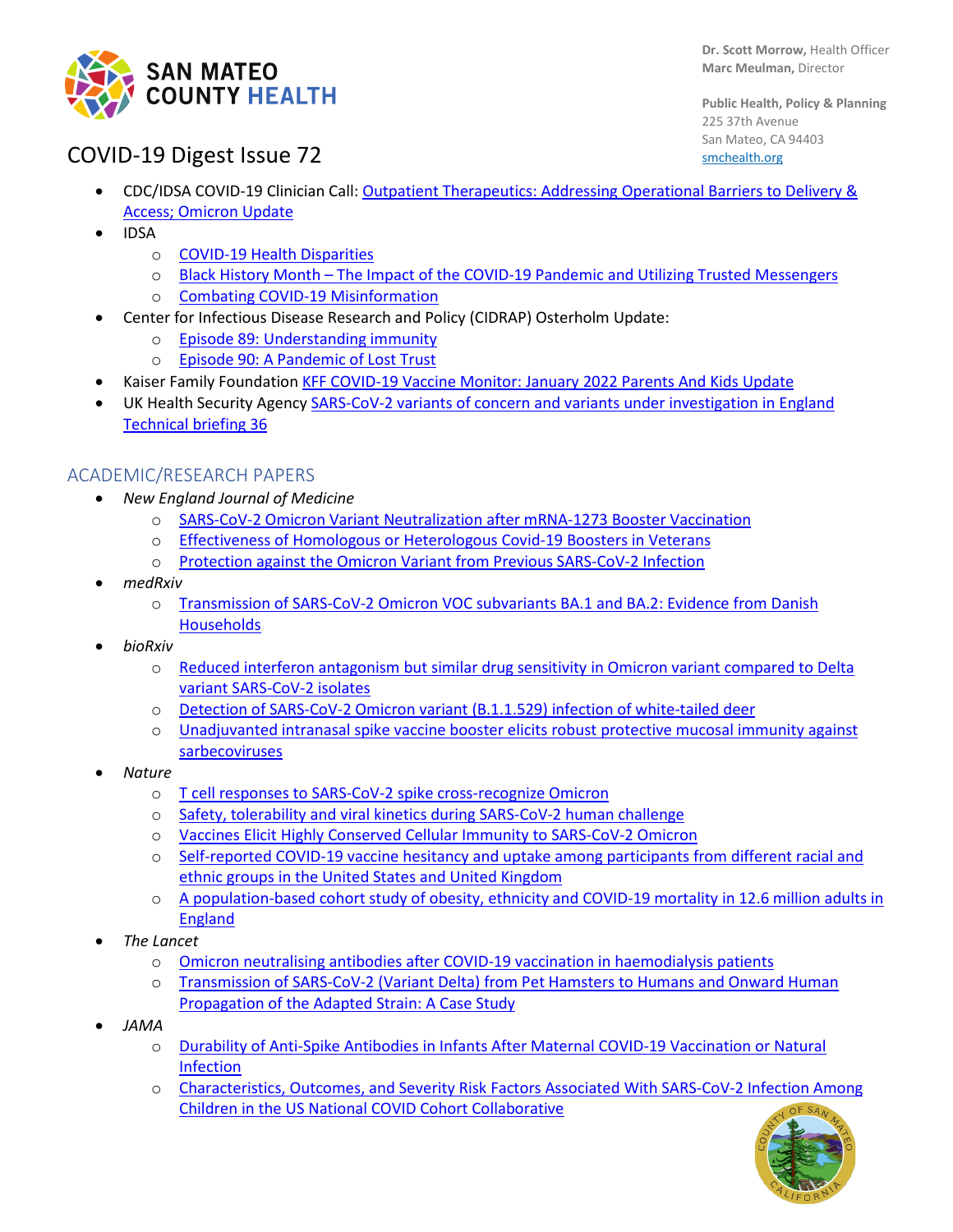

**Public Health, Policy & Planning** 225 37th Avenue San Mateo, CA 94403 [smchealth.org](https://www.smchealth.org/)

# COVID-19 Digest Issue 72

- CDC/IDSA COVID-19 Clinician Call: [Outpatient Therapeutics: Addressing Operational Barriers to Delivery &](https://www.idsociety.org/multimedia/clinician-calls/cdcidsa-covid-19-clinician-call-outpatient-therapeutics-addressing-operational-barriers-to-delivery--access-omicron-update/)  [Access; Omicron Update](https://www.idsociety.org/multimedia/clinician-calls/cdcidsa-covid-19-clinician-call-outpatient-therapeutics-addressing-operational-barriers-to-delivery--access-omicron-update/)
- IDSA
	- o [COVID-19 Health Disparities](https://www.idsociety.org/multimedia/podcasts/covid-19-health-disparities-feb-12-2022/)
	- o Black History Month [The Impact of the COVID-19 Pandemic and Utilizing Trusted Messengers](https://www.idsociety.org/multimedia/all-videos/cultural-awareness-series-black-history-month--the-impact-of-the-covid-19-pandemic-and-utilizing-trusted-messengers/)
	- o [Combating COVID-19 Misinformation](https://www.idsociety.org/multimedia/podcasts/combatting-covid-19-misinformation-jan-15-2022/)
- Center for Infectious Disease Research and Policy (CIDRAP) Osterholm Update:
	- o [Episode 89: Understanding immunity](https://www.cidrap.umn.edu/covid-19/podcasts-webinars/episode-89)
	- o [Episode 90: A Pandemic of Lost Trust](https://www.cidrap.umn.edu/covid-19/podcasts-webinars/episode-90)
- Kaiser Family Foundation [KFF COVID-19 Vaccine Monitor: January 2022 Parents And Kids Update](https://www.kff.org/coronavirus-covid-19/poll-finding/kff-covid-19-vaccine-monitor-january-2022-parents-and-kids-update/)
- UK Health Security Agency [SARS-CoV-2 variants of concern and variants under investigation in England](https://assets.publishing.service.gov.uk/government/uploads/system/uploads/attachment_data/file/1054357/Technical-Briefing-36-11February2022_v2.pdf)  [Technical briefing 36](https://assets.publishing.service.gov.uk/government/uploads/system/uploads/attachment_data/file/1054357/Technical-Briefing-36-11February2022_v2.pdf)

### ACADEMIC/RESEARCH PAPERS

- *New England Journal of Medicine*
	- o [SARS-CoV-2 Omicron Variant Neutralization after mRNA-1273 Booster Vaccination](https://www.nejm.org/doi/full/10.1056/NEJMc2119912)
	- o [Effectiveness of Homologous or Heterologous Covid-19 Boosters in Veterans](https://www.nejm.org/doi/full/10.1056/NEJMc2200415)
	- o [Protection against the Omicron Variant from Previous SARS-CoV-2 Infection](https://www.nejm.org/doi/full/10.1056/NEJMc2200133)
- *medRxiv*
	- o [Transmission of SARS-CoV-2 Omicron VOC subvariants BA.1 and BA.2: Evidence from Danish](https://www.medrxiv.org/content/10.1101/2022.01.28.22270044v1)  **[Households](https://www.medrxiv.org/content/10.1101/2022.01.28.22270044v1)**
- *bioRxiv*
	- o [Reduced interferon antagonism but similar drug sensitivity in Omicron variant compared to Delta](https://www.biorxiv.org/content/10.1101/2022.01.03.474773v1)  [variant SARS-CoV-2 isolates](https://www.biorxiv.org/content/10.1101/2022.01.03.474773v1)
	- o [Detection of SARS-CoV-2 Omicron variant \(B.1.1.529\) infection of white-tailed deer](https://www.biorxiv.org/content/10.1101/2022.02.04.479189v1)
	- [Unadjuvanted intranasal spike vaccine booster elicits robust protective mucosal](https://www.biorxiv.org/content/10.1101/2022.01.24.477597v1) immunity against [sarbecoviruses](https://www.biorxiv.org/content/10.1101/2022.01.24.477597v1)
- *Nature*
	- o [T cell responses to SARS-CoV-2 spike cross-recognize Omicron](https://www.nature.com/articles/s41586-022-04460-3)
	- o [Safety, tolerability and viral kinetics during SARS-CoV-2 human challenge](https://www.researchsquare.com/article/rs-1121993/v1)
	- o [Vaccines Elicit Highly Conserved Cellular Immunity to SARS-CoV-2 Omicron](https://www.nature.com/articles/s41586-022-04465-y)
	- o [Self-reported COVID-19 vaccine hesitancy and uptake among participants from different racial and](https://www.nature.com/articles/s41467-022-28200-3)  [ethnic groups in the United States and United Kingdom](https://www.nature.com/articles/s41467-022-28200-3)
	- o [A population-based cohort study of obesity, ethnicity and COVID-19 mortality in 12.6 million adults in](https://www.nature.com/articles/s41467-022-28248-1)  [England](https://www.nature.com/articles/s41467-022-28248-1)
- *The Lancet*
	- o [Omicron neutralising antibodies after COVID-19 vaccination in haemodialysis patients](https://www.thelancet.com/journals/lancet/article/PIIS0140-6736(22)00104-0/fulltext)
	- o [Transmission of SARS-CoV-2 \(Variant Delta\) from Pet Hamsters to Humans and Onward Human](https://papers.ssrn.com/sol3/papers.cfm?abstract_id=4017393)  [Propagation of the Adapted Strain: A Case Study](https://papers.ssrn.com/sol3/papers.cfm?abstract_id=4017393)
- *JAMA*
	- o [Durability of Anti-Spike Antibodies in Infants After Maternal COVID-19 Vaccination or Natural](https://jamanetwork.com/journals/jama/fullarticle/2788986)  [Infection](https://jamanetwork.com/journals/jama/fullarticle/2788986)
	- o [Characteristics, Outcomes, and Severity Risk Factors Associated With SARS-CoV-2 Infection Among](https://jamanetwork.com/journals/jamanetworkopen/fullarticle/2788844)  [Children in the US National COVID Cohort Collaborative](https://jamanetwork.com/journals/jamanetworkopen/fullarticle/2788844)

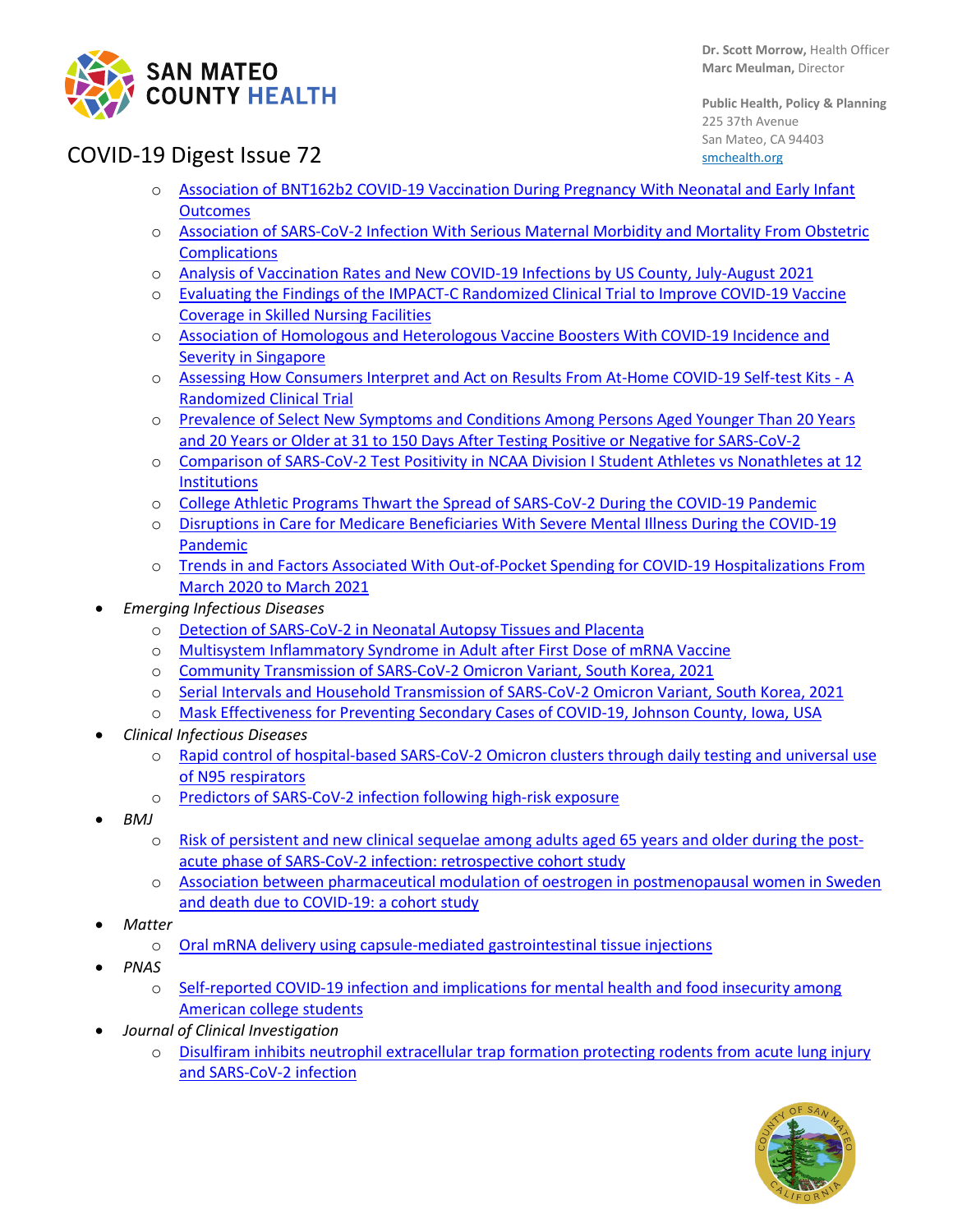

**Public Health, Policy & Planning** 225 37th Avenue San Mateo, CA 94403 [smchealth.org](https://www.smchealth.org/)

# COVID-19 Digest Issue 72

- o [Association of BNT162b2 COVID-19 Vaccination During Pregnancy With Neonatal and Early Infant](https://jamanetwork.com/journals/jamapediatrics/fullarticle/2788938)  **[Outcomes](https://jamanetwork.com/journals/jamapediatrics/fullarticle/2788938)**
- o [Association of SARS-CoV-2 Infection With Serious Maternal Morbidity and Mortality From Obstetric](https://jamanetwork.com/journals/jama/fullarticle/2788985)  **[Complications](https://jamanetwork.com/journals/jama/fullarticle/2788985)**
- o [Analysis of Vaccination Rates and New COVID-19 Infections by US County, July-August 2021](https://jamanetwork.com/journals/jamanetworkopen/fullarticle/2788928)
- o [Evaluating the Findings of the IMPACT-C Randomized Clinical Trial](https://jamanetwork.com/journals/jamainternalmedicine/fullarticle/2788657) to Improve COVID-19 Vaccine [Coverage in Skilled Nursing Facilities](https://jamanetwork.com/journals/jamainternalmedicine/fullarticle/2788657)
- o [Association of Homologous and Heterologous Vaccine Boosters With COVID-19 Incidence and](https://jamanetwork.com/journals/jama/fullarticle/2789151)  [Severity in Singapore](https://jamanetwork.com/journals/jama/fullarticle/2789151)
- o [Assessing How Consumers Interpret and Act on Results From At-Home COVID-19 Self-test Kits -](https://jamanetwork.com/journals/jamainternalmedicine/fullarticle/2788656) A [Randomized Clinical Trial](https://jamanetwork.com/journals/jamainternalmedicine/fullarticle/2788656)
- o [Prevalence of Select New Symptoms and Conditions Among Persons Aged Younger Than 20 Years](https://jamanetwork.com/journals/jamanetworkopen/fullarticle/2788641)  [and 20 Years or Older at 31 to 150 Days After Testing Positive or Negative for SARS-CoV-2](https://jamanetwork.com/journals/jamanetworkopen/fullarticle/2788641)
- o [Comparison of SARS-CoV-2 Test Positivity in NCAA Division I Student Athletes vs Nonathletes at 12](https://jamanetwork.com/journals/jamanetworkopen/fullarticle/2788852)  **[Institutions](https://jamanetwork.com/journals/jamanetworkopen/fullarticle/2788852)**
- o College Athletic [Programs Thwart the Spread of SARS-CoV-2 During the COVID-19 Pandemic](https://jamanetwork.com/journals/jamanetworkopen/fullarticle/2788859)
- o [Disruptions in Care for Medicare Beneficiaries With](https://jamanetwork.com/journals/jamanetworkopen/fullarticle/2788463) Severe Mental Illness During the COVID-19 [Pandemic](https://jamanetwork.com/journals/jamanetworkopen/fullarticle/2788463)
- o [Trends in and Factors Associated With Out-of-Pocket Spending for COVID-19 Hospitalizations From](https://jamanetwork.com/journals/jamanetworkopen/fullarticle/2789008)  [March 2020 to March 2021](https://jamanetwork.com/journals/jamanetworkopen/fullarticle/2789008)
- *Emerging Infectious Diseases*
	- o [Detection of SARS-CoV-2 in Neonatal Autopsy Tissues and Placenta](https://protect-us.mimecast.com/s/GkwjCADXMqFY37WghXDqQ_)
	- o [Multisystem Inflammatory Syndrome in Adult after First Dose of mRNA Vaccine](https://protect-us.mimecast.com/s/zU8uCW6KQOckj6mAHB1n6K)
	- o [Community Transmission of SARS-CoV-2 Omicron Variant, South Korea, 2021](https://protect-us.mimecast.com/s/tHd9CNkKYDFRVzzjh8ATnT)
	- o [Serial Intervals and Household Transmission of SARS-CoV-2 Omicron Variant, South Korea, 2021](https://protect-us.mimecast.com/s/PNusC82zM8IvVYqKU9Og_Z)
	- o [Mask Effectiveness for Preventing Secondary Cases of COVID-19,](https://www.ncbi.nlm.nih.gov/pmc/articles/PMC8714203/) Johnson County, Iowa, USA
- *Clinical Infectious Diseases*
	- o [Rapid control of hospital-based SARS-CoV-2 Omicron clusters through daily testing and universal use](https://academic.oup.com/cid/advance-article/doi/10.1093/cid/ciac113/6523822?login=false)  [of N95 respirators](https://academic.oup.com/cid/advance-article/doi/10.1093/cid/ciac113/6523822?login=false)
	- o [Predictors of SARS-CoV-2 infection following high-risk exposure](https://pubmed.ncbi.nlm.nih.gov/34932817/)
- *BMJ*
	- o [Risk of persistent and new clinical sequelae among adults aged 65 years and older during the post](https://www.bmj.com/content/376/bmj-2021-068414)[acute phase of SARS-CoV-2 infection: retrospective cohort study](https://www.bmj.com/content/376/bmj-2021-068414)
	- o [Association between pharmaceutical modulation of oestrogen in postmenopausal women in Sweden](https://bmjopen.bmj.com/content/12/2/e053032)  [and death due to COVID-19: a cohort study](https://bmjopen.bmj.com/content/12/2/e053032)
- *Matter*
	- o [Oral mRNA delivery using capsule-mediated gastrointestinal tissue injections](https://www.cell.com/matter/fulltext/S2590-2385(21)00680-9?_returnURL=https%3A%2F%2Flinkinghub.elsevier.com%2Fretrieve%2Fpii%2FS2590238521006809%3Fshowall%3Dtrue)
- *PNAS*
	- o [Self-reported COVID-19 infection and implications for mental health and food insecurity among](https://www.pnas.org/content/119/7/e2111787119)  [American college students](https://www.pnas.org/content/119/7/e2111787119)
- *Journal of Clinical Investigation* 
	- o [Disulfiram inhibits neutrophil extracellular trap formation protecting rodents from acute lung injury](https://insight.jci.org/articles/view/157342)  [and SARS-CoV-2 infection](https://insight.jci.org/articles/view/157342)

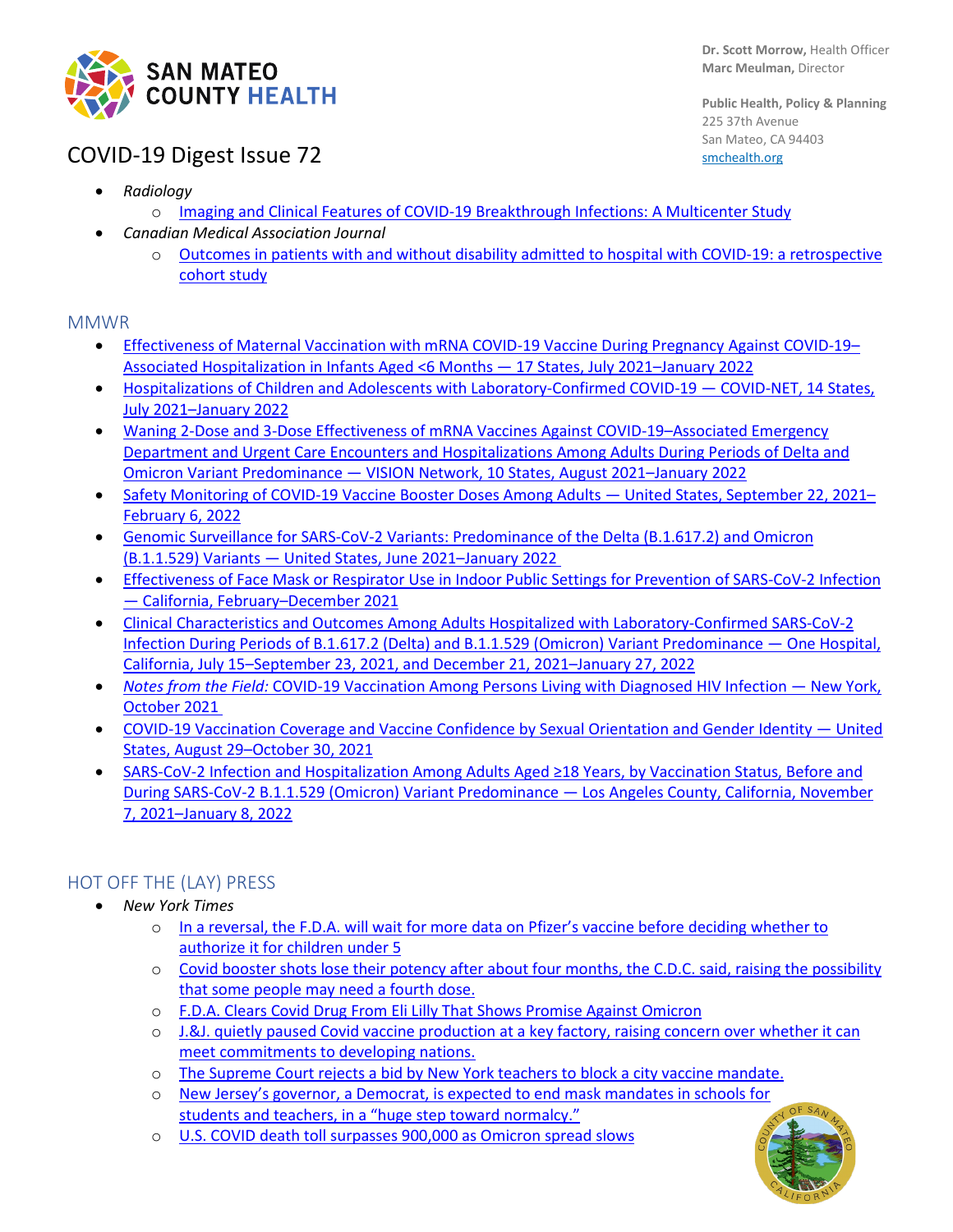

**Public Health, Policy & Planning** 225 37th Avenue San Mateo, CA 94403 [smchealth.org](https://www.smchealth.org/)

# COVID-19 Digest Issue 72

- *Radiology*
	- o [Imaging and Clinical Features of COVID-19 Breakthrough Infections: A Multicenter Study](https://pubs.rsna.org/doi/10.1148/radiol.213072)
- *Canadian Medical Association Journal*
	- o [Outcomes in patients with and without disability admitted to hospital with COVID-19: a retrospective](https://www.cmaj.ca/content/194/4/E112)  [cohort study](https://www.cmaj.ca/content/194/4/E112)

### MMWR

- Effectiveness of Maternal Vaccination with mRNA COVID-19 Vaccine During Pregnancy Against COVID-19-[Associated Hospitalization in Infants Aged <6 Months —](https://protect-us.mimecast.com/s/ovsQCNkKYDFRZyYrsR_G-3) 17 States, July 2021–January 2022
- [Hospitalizations of Children and Adolescents with Laboratory-Confirmed COVID-19 —](https://protect-us.mimecast.com/s/KhDsCOYXPlTGNQD9cP_B9i) COVID-NET, 14 States, [July 2021–January 2022](https://protect-us.mimecast.com/s/KhDsCOYXPlTGNQD9cP_B9i)
- [Waning 2-Dose and 3-Dose Effectiveness of mRNA Vaccines Against COVID-19–Associated Emergency](https://protect-us.mimecast.com/s/TJVXC4xvzmIoBv6QuWBO7S)  [Department and Urgent Care Encounters and Hospitalizations Among Adults During Periods of Delta and](https://protect-us.mimecast.com/s/TJVXC4xvzmIoBv6QuWBO7S)  Omicron Variant Predominance — [VISION Network, 10 States, August 2021–January 2022](https://protect-us.mimecast.com/s/TJVXC4xvzmIoBv6QuWBO7S)
- [Safety Monitoring of COVID-19 Vaccine Booster Doses Among Adults —](https://protect-us.mimecast.com/s/95GDC5ywRnFvZDRQux9GBD) United States, September 22, 2021– [February 6, 2022](https://protect-us.mimecast.com/s/95GDC5ywRnFvZDRQux9GBD)
- [Genomic Surveillance for SARS-CoV-2 Variants: Predominance of the Delta \(B.1.617.2\) and Omicron](https://protect-us.mimecast.com/s/A-x6C31ryRcBpG6AFvsb6k)  (B.1.1.529) Variants — [United States, June 2021–January 2022](https://protect-us.mimecast.com/s/A-x6C31ryRcBpG6AFvsb6k)
- [Effectiveness of Face Mask or Respirator Use in Indoor Public Settings for Prevention of SARS-CoV-2 Infection](https://protect-us.mimecast.com/s/5ve0CR6KPYcm21WrhOn3a2)  — California, [February–December 2021](https://protect-us.mimecast.com/s/5ve0CR6KPYcm21WrhOn3a2)
- [Clinical Characteristics and Outcomes Among Adults Hospitalized with Laboratory-Confirmed SARS-CoV-2](https://protect-us.mimecast.com/s/rx-wCVO27pfwG6ylcQ8U5Q)  [Infection During Periods of B.1.617.2 \(Delta\) and B.1.1.529 \(Omicron\) Variant Predominance —](https://protect-us.mimecast.com/s/rx-wCVO27pfwG6ylcQ8U5Q) One Hospital, [California, July 15–September 23, 2021, and December 21, 2021–January 27, 2022](https://protect-us.mimecast.com/s/rx-wCVO27pfwG6ylcQ8U5Q)
- *Notes from the Field:* [COVID-19 Vaccination Among Persons Living with Diagnosed HIV Infection —](https://protect-us.mimecast.com/s/ssQ5CYEYypC1r3VNhZrIbc) New York, [October 2021](https://protect-us.mimecast.com/s/ssQ5CYEYypC1r3VNhZrIbc)
- [COVID-19 Vaccination Coverage and Vaccine Confidence by Sexual Orientation and Gender Identity —](https://protect-us.mimecast.com/s/TQv-C2kq74FlMk5RfL8q9T) United [States, August 29–October 30, 2021](https://protect-us.mimecast.com/s/TQv-C2kq74FlMk5RfL8q9T)
- SARS-CoV-[2 Infection and Hospitalization Among Adults Aged ≥18 Years, by Vaccination Status, Before and](https://protect-us.mimecast.com/s/KEbWC31ryRcAnmDGIpK97v)  [During SARS-CoV-2 B.1.1.529 \(Omicron\) Variant Predominance —](https://protect-us.mimecast.com/s/KEbWC31ryRcAnmDGIpK97v) Los Angeles County, California, November [7, 2021–January 8, 2022](https://protect-us.mimecast.com/s/KEbWC31ryRcAnmDGIpK97v)

### HOT OFF THE (LAY) PRESS

- *New York Times*
	- o [In a reversal, the F.D.A. will wait for more data on Pfizer's vaccine before deciding whether to](https://protect-us.mimecast.com/s/Jb2ECR6KPYcVv2kAIPxJKH)  [authorize it for children under 5](https://protect-us.mimecast.com/s/Jb2ECR6KPYcVv2kAIPxJKH)
	- o [Covid booster shots lose their potency after about four months, the C.D.C. said, raising the possibility](https://protect-us.mimecast.com/s/ooHpCKr7LXhJ2XQjT3SFhe)  [that some people may need a fourth dose.](https://protect-us.mimecast.com/s/ooHpCKr7LXhJ2XQjT3SFhe)
	- o [F.D.A. Clears Covid Drug From Eli Lilly That Shows Promise Against Omicron](https://www.nytimes.com/2022/02/11/us/politics/eli-lilly-antibody-treatment-covid.html)
	- o [J.&J. quietly paused Covid vaccine production at a key factory, raising concern over whether it can](https://protect-us.mimecast.com/s/WpBKCM8KJDcOn7zjTJhgXB)  [meet commitments to developing nations.](https://protect-us.mimecast.com/s/WpBKCM8KJDcOn7zjTJhgXB)
	- o [The Supreme Court rejects a bid by New York teachers to block a city vaccine mandate.](https://www.nytimes.com/2022/02/12/nyregion/supreme-court-denies-new-york-city-teachers-bid-to-block-vaccine-mandate.html)
	- o [New Jersey's governor, a Democrat, is expected to end mask mandates in schools for](https://protect-us.mimecast.com/s/gG49ClYk2QTnV0NYtyoJ3w)  [students and teachers, in a "huge step toward normalcy."](https://protect-us.mimecast.com/s/gG49ClYk2QTnV0NYtyoJ3w)
	- o [U.S. COVID death toll surpasses 900,000 as Omicron spread slows](https://www.nytimes.com/2022/02/04/us/us-covid-deaths.html)

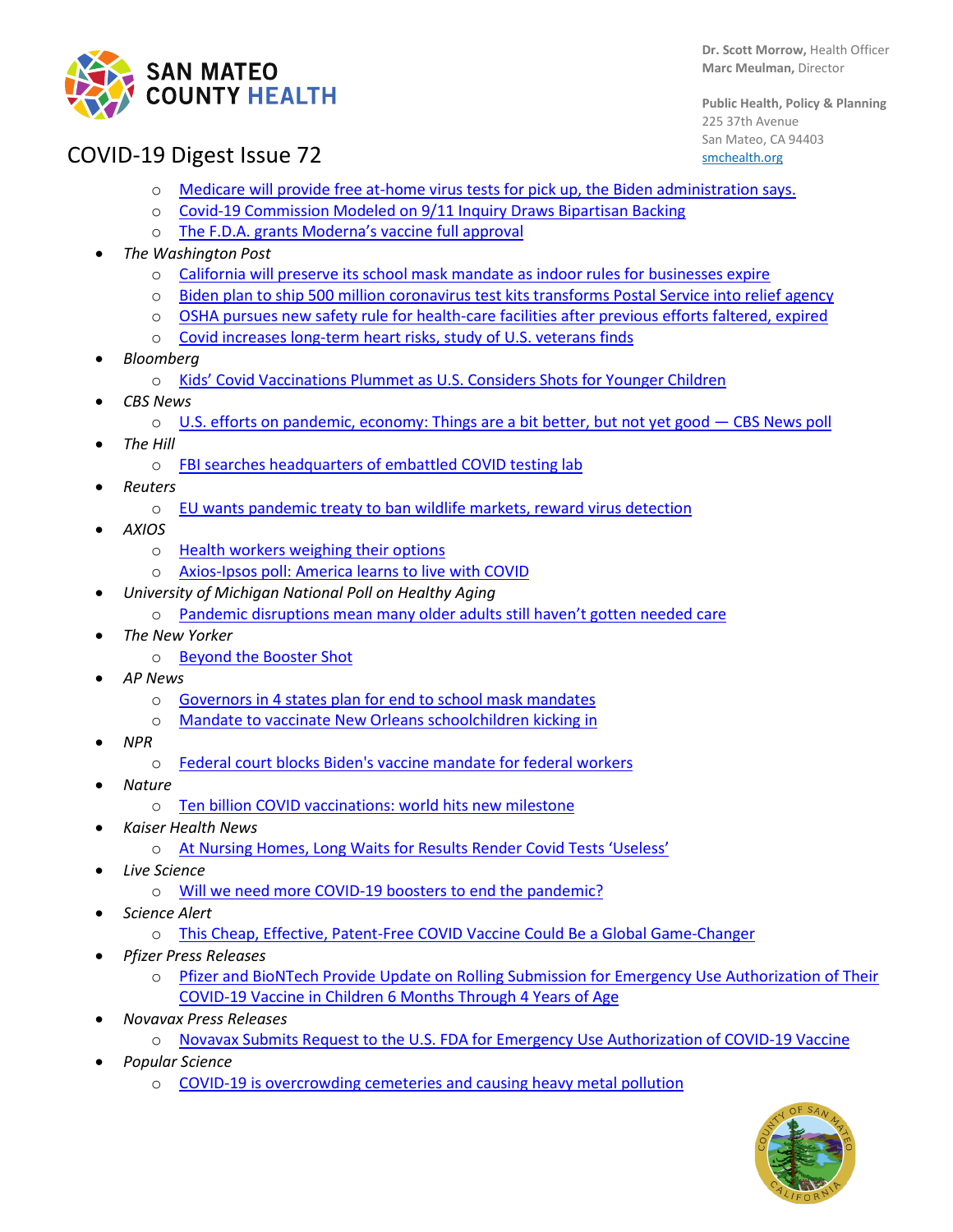

**Dr. Scott Morrow,** Health Officer **Marc Meulman,** Director

**Public Health, Policy & Planning** 225 37th Avenue San Mateo, CA 94403 [smchealth.org](https://www.smchealth.org/)

### COVID-19 Digest Issue 72

- o [Medicare will provide free at-home virus tests for pick up, the Biden administration says.](https://www.nytimes.com/live/2022/02/03/world/covid-test-vaccine-cases#medicare-will-provide-free-at-home-virus-tests-for-pickup-the-biden-administration-says)
- o [Covid-19 Commission Modeled on 9/11 Inquiry Draws Bipartisan Backing](https://www.nytimes.com/2022/02/04/us/politics/covid-commission.html?referringSource=articleShare)
- o [The F.D.A. grants Moderna's vaccine full approval](https://www.nytimes.com/live/2022/01/31/world/omicron-covid-vaccine-tests#the-fda-grants-modernas-vaccine-full-approval)
- *The Washington Post*
	- California will preserve its school mask [mandate as indoor rules for businesses expire](https://www.washingtonpost.com/nation/2022/02/14/covid-omicron-variant-live-updates/#link-V6CIBCRZWRHDJAEOMERIHJXMYE)
	- o [Biden plan to ship 500 million coronavirus test kits transforms Postal Service into relief agency](https://www.washingtonpost.com/business/2022/01/21/usps-coronavirus-test-kits/)
	- o [OSHA pursues new safety rule for health-care facilities after previous efforts faltered, expired](https://www.washingtonpost.com/business/2022/01/29/osha-rule-healthcare-safety-covid/)
	- o [Covid increases long-term heart risks, study of U.S. veterans finds](https://www.washingtonpost.com/nation/2022/02/10/covid-omicron-variant-live-updates/)
- *Bloomberg*
	- o [Kids' Covid Vaccinations Plummet as U.S. Considers Shots for Younger Children](https://www.bloomberg.com/news/articles/2022-02-03/kids-vaccinations-plummet-as-u-s-considers-shots-for-youngest)
- *CBS News*
	- o [U.S. efforts on pandemic, economy: Things are a bit better, but not yet good —](https://www.cbsnews.com/news/coronavirus-pandemic-economy-opinion-poll-02-13-2022/?intcid=CNM-00-10abd1h) CBS News poll
- *The Hill*
	- o [FBI searches headquarters of embattled COVID testing lab](https://thehill.com/policy/healthcare/590990-fbi-searches-headquarters-of-embattled-covid-testing-lab)
- *Reuters*
	- o [EU wants pandemic treaty to ban wildlife markets, reward virus detection](https://www.reuters.com/business/healthcare-pharmaceuticals/exclusive-eu-wants-pandemic-treaty-ban-wildlife-markets-reward-virus-detection-2022-02-09/)
- *AXIOS*
	- o [Health workers weighing their options](https://www.axios.com/health-workers-weighing-their-options-6f91cbbe-657d-4e64-a639-001cb48ebceb.html)
	- o [Axios-Ipsos poll: America learns to live with COVID](https://www.axios.com/axios-ipsos-poll-covid-acceptance-but-indecision-211212c1-733e-482f-9f4f-026e9de727bb.html)
- *University of Michigan National Poll on Healthy Aging*
	- o [Pandemic disruptions mean many older adults still haven't gotten needed care](https://www.healthyagingpoll.org/reports-more/poll-extras/pandemic-disruptions-mean-many-older-adults-still-havent-gotten-needed)
	- *The New Yorker*
		- o [Beyond the Booster Shot](https://www.newyorker.com/science/annals-of-medicine/beyond-the-booster-shot?utm_source=nl&utm_brand=tny&utm_mailing=TNY_Daily_Control_020822&utm_campaign=aud-dev&utm_medium=email&utm_term=tny_daily_recirc&bxid=5ec224d8a9edff5527505caa&cndid=61138842&hasha=76b0e58c87ce9b677e5e3efd8b84d7fb&hashb=fa8a4a6606c166f8a143fab9ad9fa1141b3aff96&hashc=11145baac4d4317848bac507e196627100d5d91f193bad3d6809aa4e38588cfb&esrc=bounceX&mbid=CRMNYR012019)
- *AP News*
	- o [Governors in 4 states plan for end to school mask mandates](https://apnews.com/article/coronavirus-pandemic-health-education-new-jersey-ce67cdfe4373407645fbfb5223051dcd)
	- o [Mandate to vaccinate New Orleans schoolchildren kicking in](https://apnews.com/article/coronavirus-pandemic-health-education-new-orleans-be05bf784db523aab6ff1645616e762a)
- *NPR*
	- o [Federal court blocks Biden's vaccine mandate for federal workers](https://www.npr.org/2022/01/21/1074815838/federal-court-blocks-bidens-vaccine-mandate-for-federal-workers)
- *Nature*
	- o [Ten billion COVID vaccinations: world hits new milestone](https://www.nature.com/articles/d41586-022-00285-2)
- *Kaiser Health News*
	- o [At Nursing Homes, Long Waits for Results Render Covid Tests 'Useless'](https://khn.org/news/article/at-nursing-homes-long-waits-for-results-render-covid-tests-useless/)
- *Live Science*
	- o [Will we need more COVID-19 boosters to end the pandemic?](https://www.livescience.com/will-we-need-more-covid-19-boosters-to-end-pandemic)
- *Science Alert*
	- o [This Cheap, Effective, Patent-Free COVID Vaccine Could Be a Global Game-Changer](https://www.sciencealert.com/a-new-patent-free-covid-19-vaccine-could-be-a-global-game-changer)
- *Pfizer Press Releases*
	- o [Pfizer and BioNTech Provide Update on Rolling Submission for Emergency Use Authorization of Their](https://www.pfizer.com/news/press-release/press-release-detail/pfizer-and-biontech-provide-update-rolling-submission)  [COVID-19 Vaccine in Children 6 Months Through 4 Years of Age](https://www.pfizer.com/news/press-release/press-release-detail/pfizer-and-biontech-provide-update-rolling-submission)
- *Novavax Press Releases*
	- o [Novavax Submits Request to the U.S. FDA for Emergency Use Authorization of COVID-19 Vaccine](https://ir.novavax.com/2022-01-31-Novavax-Submits-Request-to-the-U-S-FDA-for-Emergency-Use-Authorization-of-COVID-19-Vaccine)
- *Popular Science*
	- o [COVID-19 is overcrowding cemeteries and causing heavy metal pollution](https://www.popsci.com/environment/covid-public-health-risks-cemeteries/)